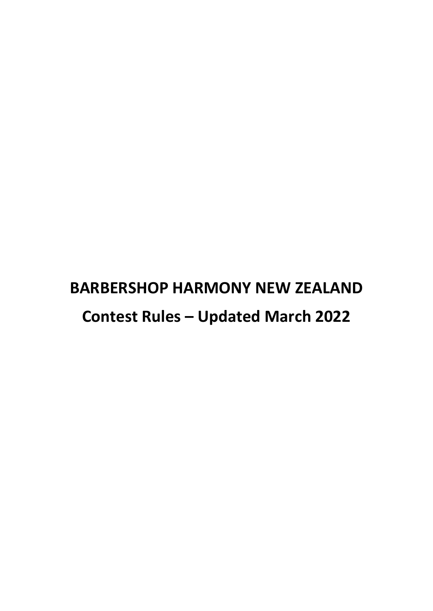# **BARBERSHOP HARMONY NEW ZEALAND Contest Rules – Updated March 2022**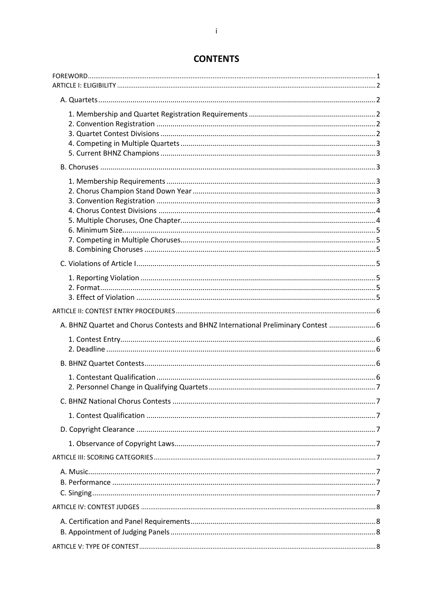| A. BHNZ Quartet and Chorus Contests and BHNZ International Preliminary Contest  6 |  |
|-----------------------------------------------------------------------------------|--|
|                                                                                   |  |
|                                                                                   |  |
|                                                                                   |  |
|                                                                                   |  |
|                                                                                   |  |
|                                                                                   |  |
|                                                                                   |  |
|                                                                                   |  |
|                                                                                   |  |
|                                                                                   |  |
|                                                                                   |  |
|                                                                                   |  |

## **CONTENTS**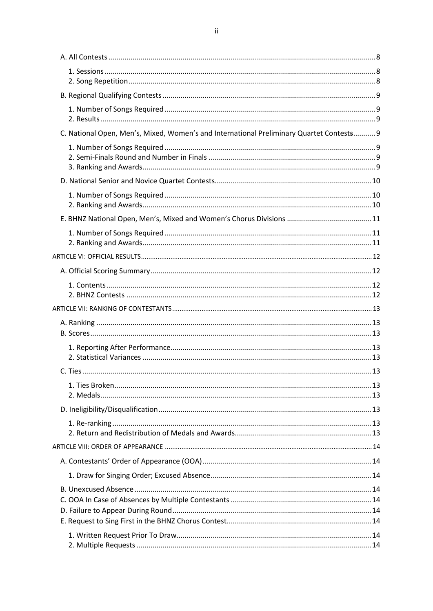| C. National Open, Men's, Mixed, Women's and International Preliminary Quartet Contests 9 |  |
|------------------------------------------------------------------------------------------|--|
|                                                                                          |  |
|                                                                                          |  |
|                                                                                          |  |
|                                                                                          |  |
|                                                                                          |  |
|                                                                                          |  |
|                                                                                          |  |
|                                                                                          |  |
|                                                                                          |  |
|                                                                                          |  |
|                                                                                          |  |
|                                                                                          |  |
|                                                                                          |  |
|                                                                                          |  |
|                                                                                          |  |
|                                                                                          |  |
|                                                                                          |  |
|                                                                                          |  |
|                                                                                          |  |
|                                                                                          |  |
|                                                                                          |  |
|                                                                                          |  |
|                                                                                          |  |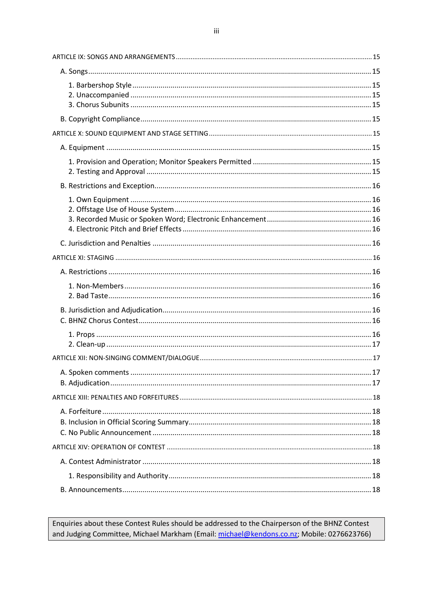Enquiries about these Contest Rules should be addressed to the Chairperson of the BHNZ Contest and Judging Committee, Michael Markham (Email: michael@kendons.co.nz; Mobile: 0276623766)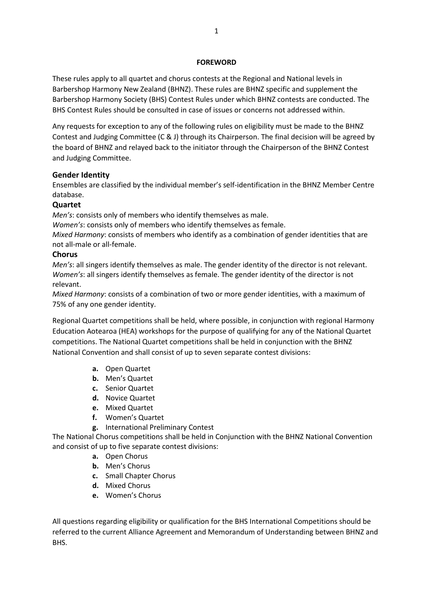#### **FOREWORD**

<span id="page-4-0"></span>These rules apply to all quartet and chorus contests at the Regional and National levels in Barbershop Harmony New Zealand (BHNZ). These rules are BHNZ specific and supplement the Barbershop Harmony Society (BHS) Contest Rules under which BHNZ contests are conducted. The BHS Contest Rules should be consulted in case of issues or concerns not addressed within.

Any requests for exception to any of the following rules on eligibility must be made to the BHNZ Contest and Judging Committee (C & J) through its Chairperson. The final decision will be agreed by the board of BHNZ and relayed back to the initiator through the Chairperson of the BHNZ Contest and Judging Committee.

## **Gender Identity**

Ensembles are classified by the individual member's self-identification in the BHNZ Member Centre database.

## **Quartet**

*Men's*: consists only of members who identify themselves as male.

*Women's*: consists only of members who identify themselves as female.

*Mixed Harmony*: consists of members who identify as a combination of gender identities that are not all-male or all-female.

## **Chorus**

*Men's*: all singers identify themselves as male. The gender identity of the director is not relevant. *Women's*: all singers identify themselves as female. The gender identity of the director is not relevant.

*Mixed Harmony*: consists of a combination of two or more gender identities, with a maximum of 75% of any one gender identity.

Regional Quartet competitions shall be held, where possible, in conjunction with regional Harmony Education Aotearoa (HEA) workshops for the purpose of qualifying for any of the National Quartet competitions. The National Quartet competitions shall be held in conjunction with the BHNZ National Convention and shall consist of up to seven separate contest divisions:

- **a.** Open Quartet
- **b.** Men's Quartet
- **c.** Senior Quartet
- **d.** Novice Quartet
- **e.** Mixed Quartet
- **f.** Women's Quartet
- **g.** International Preliminary Contest

The National Chorus competitions shall be held in Conjunction with the BHNZ National Convention and consist of up to five separate contest divisions:

- **a.** Open Chorus
- **b.** Men's Chorus
- **c.** Small Chapter Chorus
- **d.** Mixed Chorus
- **e.** Women's Chorus

All questions regarding eligibility or qualification for the BHS International Competitions should be referred to the current Alliance Agreement and Memorandum of Understanding between BHNZ and BHS.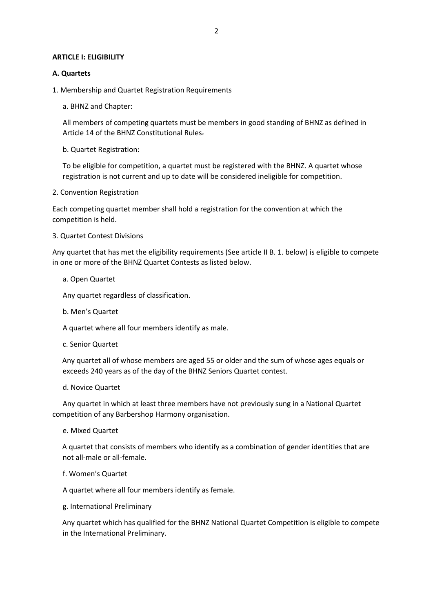#### <span id="page-5-0"></span>**ARTICLE I: ELIGIBILITY**

#### <span id="page-5-1"></span>**A. Quartets**

- <span id="page-5-2"></span>1. Membership and Quartet Registration Requirements
	- a. BHNZ and Chapter:

All members of competing quartets must be members in good standing of BHNZ as defined in Article 14 of the BHNZ Constitutional Rules.

b. Quartet Registration:

To be eligible for competition, a quartet must be registered with the BHNZ. A quartet whose registration is not current and up to date will be considered ineligible for competition.

<span id="page-5-3"></span>2. Convention Registration

Each competing quartet member shall hold a registration for the convention at which the competition is held.

<span id="page-5-4"></span>3. Quartet Contest Divisions

Any quartet that has met the eligibility requirements (See article II B. 1. below) is eligible to compete in one or more of the BHNZ Quartet Contests as listed below.

a. Open Quartet

Any quartet regardless of classification.

b. Men's Quartet

A quartet where all four members identify as male.

c. Senior Quartet

Any quartet all of whose members are aged 55 or older and the sum of whose ages equals or exceeds 240 years as of the day of the BHNZ Seniors Quartet contest.

d. Novice Quartet

Any quartet in which at least three members have not previously sung in a National Quartet competition of any Barbershop Harmony organisation.

e. Mixed Quartet

A quartet that consists of members who identify as a combination of gender identities that are not all-male or all-female.

f. Women's Quartet

A quartet where all four members identify as female.

g. International Preliminary

Any quartet which has qualified for the BHNZ National Quartet Competition is eligible to compete in the International Preliminary.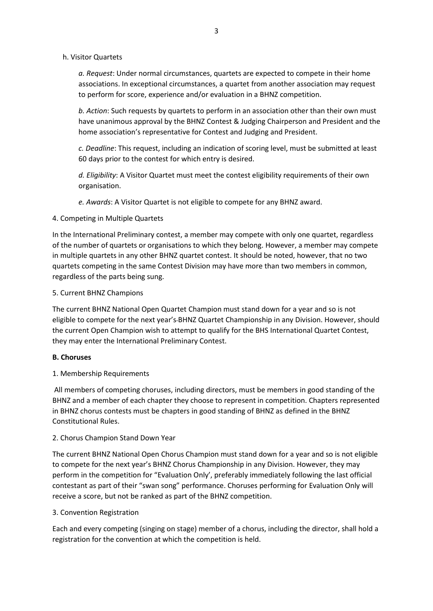## h. Visitor Quartets

*a. Request*: Under normal circumstances, quartets are expected to compete in their home associations. In exceptional circumstances, a quartet from another association may request to perform for score, experience and/or evaluation in a BHNZ competition.

*b. Action*: Such requests by quartets to perform in an association other than their own must have unanimous approval by the BHNZ Contest & Judging Chairperson and President and the home association's representative for Contest and Judging and President.

*c. Deadline*: This request, including an indication of scoring level, must be submitted at least 60 days prior to the contest for which entry is desired.

*d. Eligibility*: A Visitor Quartet must meet the contest eligibility requirements of their own organisation.

*e. Awards*: A Visitor Quartet is not eligible to compete for any BHNZ award.

## <span id="page-6-0"></span>4. Competing in Multiple Quartets

In the International Preliminary contest, a member may compete with only one quartet, regardless of the number of quartets or organisations to which they belong. However, a member may compete in multiple quartets in any other BHNZ quartet contest. It should be noted, however, that no two quartets competing in the same Contest Division may have more than two members in common, regardless of the parts being sung.

## <span id="page-6-1"></span>5. Current BHNZ Champions

The current BHNZ National Open Quartet Champion must stand down for a year and so is not eligible to compete for the next year's BHNZ Quartet Championship in any Division. However, should the current Open Champion wish to attempt to qualify for the BHS International Quartet Contest, they may enter the International Preliminary Contest.

## <span id="page-6-2"></span>**B. Choruses**

## <span id="page-6-3"></span>1. Membership Requirements

All members of competing choruses, including directors, must be members in good standing of the BHNZ and a member of each chapter they choose to represent in competition. Chapters represented in BHNZ chorus contests must be chapters in good standing of BHNZ as defined in the BHNZ Constitutional Rules.

## <span id="page-6-4"></span>2. Chorus Champion Stand Down Year

The current BHNZ National Open Chorus Champion must stand down for a year and so is not eligible to compete for the next year's BHNZ Chorus Championship in any Division. However, they may perform in the competition for "Evaluation Only', preferably immediately following the last official contestant as part of their "swan song" performance. Choruses performing for Evaluation Only will receive a score, but not be ranked as part of the BHNZ competition.

## <span id="page-6-5"></span>3. Convention Registration

Each and every competing (singing on stage) member of a chorus, including the director, shall hold a registration for the convention at which the competition is held.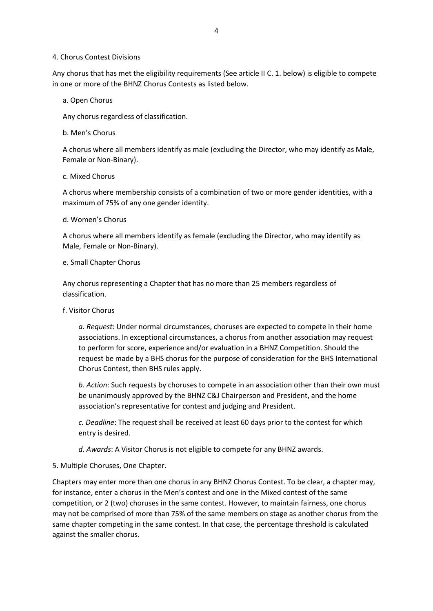#### <span id="page-7-0"></span>4. Chorus Contest Divisions

Any chorus that has met the eligibility requirements (See article II C. 1. below) is eligible to compete in one or more of the BHNZ Chorus Contests as listed below.

### a. Open Chorus

Any chorus regardless of classification.

## b. Men's Chorus

A chorus where all members identify as male (excluding the Director, who may identify as Male, Female or Non-Binary).

## c. Mixed Chorus

A chorus where membership consists of a combination of two or more gender identities, with a maximum of 75% of any one gender identity.

#### d. Women's Chorus

A chorus where all members identify as female (excluding the Director, who may identify as Male, Female or Non-Binary).

## e. Small Chapter Chorus

Any chorus representing a Chapter that has no more than 25 members regardless of classification.

## f. Visitor Chorus

*a. Request*: Under normal circumstances, choruses are expected to compete in their home associations. In exceptional circumstances, a chorus from another association may request to perform for score, experience and/or evaluation in a BHNZ Competition. Should the request be made by a BHS chorus for the purpose of consideration for the BHS International Chorus Contest, then BHS rules apply.

*b. Action*: Such requests by choruses to compete in an association other than their own must be unanimously approved by the BHNZ C&J Chairperson and President, and the home association's representative for contest and judging and President.

*c. Deadline*: The request shall be received at least 60 days prior to the contest for which entry is desired.

*d. Awards*: A Visitor Chorus is not eligible to compete for any BHNZ awards.

## <span id="page-7-1"></span>5. Multiple Choruses, One Chapter.

Chapters may enter more than one chorus in any BHNZ Chorus Contest. To be clear, a chapter may, for instance, enter a chorus in the Men's contest and one in the Mixed contest of the same competition, or 2 (two) choruses in the same contest. However, to maintain fairness, one chorus may not be comprised of more than 75% of the same members on stage as another chorus from the same chapter competing in the same contest. In that case, the percentage threshold is calculated against the smaller chorus.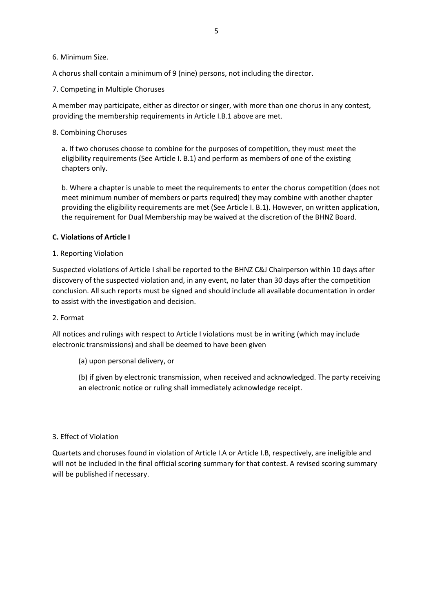### <span id="page-8-0"></span>6. Minimum Size.

A chorus shall contain a minimum of 9 (nine) persons, not including the director.

<span id="page-8-1"></span>7. Competing in Multiple Choruses

A member may participate, either as director or singer, with more than one chorus in any contest, providing the membership requirements in Article I.B.1 above are met.

## <span id="page-8-2"></span>8. Combining Choruses

a. If two choruses choose to combine for the purposes of competition, they must meet the eligibility requirements (See Article I. B.1) and perform as members of one of the existing chapters only.

b. Where a chapter is unable to meet the requirements to enter the chorus competition (does not meet minimum number of members or parts required) they may combine with another chapter providing the eligibility requirements are met (See Article I. B.1). However, on written application, the requirement for Dual Membership may be waived at the discretion of the BHNZ Board.

## <span id="page-8-3"></span>**C. Violations of Article I**

## <span id="page-8-4"></span>1. Reporting Violation

Suspected violations of Article I shall be reported to the BHNZ C&J Chairperson within 10 days after discovery of the suspected violation and, in any event, no later than 30 days after the competition conclusion. All such reports must be signed and should include all available documentation in order to assist with the investigation and decision.

## <span id="page-8-5"></span>2. Format

All notices and rulings with respect to Article I violations must be in writing (which may include electronic transmissions) and shall be deemed to have been given

(a) upon personal delivery, or

(b) if given by electronic transmission, when received and acknowledged. The party receiving an electronic notice or ruling shall immediately acknowledge receipt.

## <span id="page-8-6"></span>3. Effect of Violation

Quartets and choruses found in violation of Article I.A or Article I.B, respectively, are ineligible and will not be included in the final official scoring summary for that contest. A revised scoring summary will be published if necessary.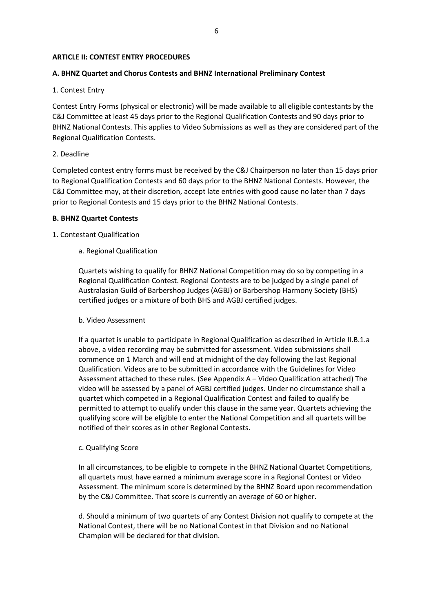### <span id="page-9-0"></span>**ARTICLE II: CONTEST ENTRY PROCEDURES**

## <span id="page-9-1"></span>**A. BHNZ Quartet and Chorus Contests and BHNZ International Preliminary Contest**

## <span id="page-9-2"></span>1. Contest Entry

Contest Entry Forms (physical or electronic) will be made available to all eligible contestants by the C&J Committee at least 45 days prior to the Regional Qualification Contests and 90 days prior to BHNZ National Contests. This applies to Video Submissions as well as they are considered part of the Regional Qualification Contests.

#### <span id="page-9-3"></span>2. Deadline

Completed contest entry forms must be received by the C&J Chairperson no later than 15 days prior to Regional Qualification Contests and 60 days prior to the BHNZ National Contests. However, the C&J Committee may, at their discretion, accept late entries with good cause no later than 7 days prior to Regional Contests and 15 days prior to the BHNZ National Contests.

#### <span id="page-9-4"></span>**B. BHNZ Quartet Contests**

#### <span id="page-9-5"></span>1. Contestant Qualification

a. Regional Qualification

Quartets wishing to qualify for BHNZ National Competition may do so by competing in a Regional Qualification Contest. Regional Contests are to be judged by a single panel of Australasian Guild of Barbershop Judges (AGBJ) or Barbershop Harmony Society (BHS) certified judges or a mixture of both BHS and AGBJ certified judges.

#### b. Video Assessment

If a quartet is unable to participate in Regional Qualification as described in Article II.B.1.a above, a video recording may be submitted for assessment. Video submissions shall commence on 1 March and will end at midnight of the day following the last Regional Qualification. Videos are to be submitted in accordance with the Guidelines for Video Assessment attached to these rules. (See Appendix A – Video Qualification attached) The video will be assessed by a panel of AGBJ certified judges. Under no circumstance shall a quartet which competed in a Regional Qualification Contest and failed to qualify be permitted to attempt to qualify under this clause in the same year. Quartets achieving the qualifying score will be eligible to enter the National Competition and all quartets will be notified of their scores as in other Regional Contests.

#### c. Qualifying Score

In all circumstances, to be eligible to compete in the BHNZ National Quartet Competitions, all quartets must have earned a minimum average score in a Regional Contest or Video Assessment. The minimum score is determined by the BHNZ Board upon recommendation by the C&J Committee. That score is currently an average of 60 or higher.

d. Should a minimum of two quartets of any Contest Division not qualify to compete at the National Contest, there will be no National Contest in that Division and no National Champion will be declared for that division.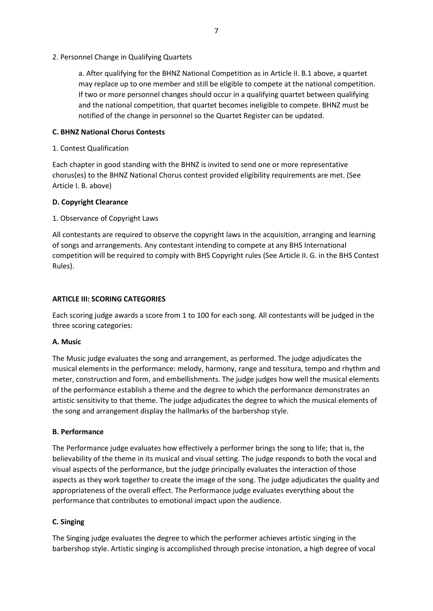<span id="page-10-0"></span>2. Personnel Change in Qualifying Quartets

a. After qualifying for the BHNZ National Competition as in Article II. B.1 above, a quartet may replace up to one member and still be eligible to compete at the national competition. If two or more personnel changes should occur in a qualifying quartet between qualifying and the national competition, that quartet becomes ineligible to compete. BHNZ must be notified of the change in personnel so the Quartet Register can be updated.

## <span id="page-10-1"></span>**C. BHNZ National Chorus Contests**

<span id="page-10-2"></span>1. Contest Qualification

Each chapter in good standing with the BHNZ is invited to send one or more representative chorus(es) to the BHNZ National Chorus contest provided eligibility requirements are met. (See Article I. B. above)

## <span id="page-10-3"></span>**D. Copyright Clearance**

<span id="page-10-4"></span>1. Observance of Copyright Laws

All contestants are required to observe the copyright laws in the acquisition, arranging and learning of songs and arrangements. Any contestant intending to compete at any BHS International competition will be required to comply with BHS Copyright rules (See Article II. G. in the BHS Contest Rules).

## <span id="page-10-5"></span>**ARTICLE III: SCORING CATEGORIES**

Each scoring judge awards a score from 1 to 100 for each song. All contestants will be judged in the three scoring categories:

## <span id="page-10-6"></span>**A. Music**

The Music judge evaluates the song and arrangement, as performed. The judge adjudicates the musical elements in the performance: melody, harmony, range and tessitura, tempo and rhythm and meter, construction and form, and embellishments. The judge judges how well the musical elements of the performance establish a theme and the degree to which the performance demonstrates an artistic sensitivity to that theme. The judge adjudicates the degree to which the musical elements of the song and arrangement display the hallmarks of the barbershop style.

## <span id="page-10-7"></span>**B. Performance**

The Performance judge evaluates how effectively a performer brings the song to life; that is, the believability of the theme in its musical and visual setting. The judge responds to both the vocal and visual aspects of the performance, but the judge principally evaluates the interaction of those aspects as they work together to create the image of the song. The judge adjudicates the quality and appropriateness of the overall effect. The Performance judge evaluates everything about the performance that contributes to emotional impact upon the audience.

## <span id="page-10-8"></span>**C. Singing**

The Singing judge evaluates the degree to which the performer achieves artistic singing in the barbershop style. Artistic singing is accomplished through precise intonation, a high degree of vocal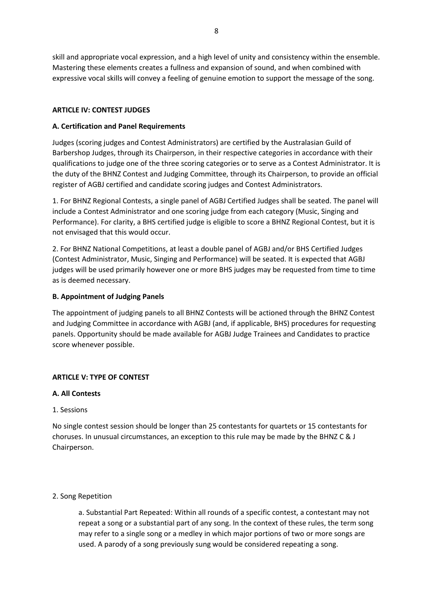skill and appropriate vocal expression, and a high level of unity and consistency within the ensemble. Mastering these elements creates a fullness and expansion of sound, and when combined with expressive vocal skills will convey a feeling of genuine emotion to support the message of the song.

## <span id="page-11-0"></span>**ARTICLE IV: CONTEST JUDGES**

## <span id="page-11-1"></span>**A. Certification and Panel Requirements**

Judges (scoring judges and Contest Administrators) are certified by the Australasian Guild of Barbershop Judges, through its Chairperson, in their respective categories in accordance with their qualifications to judge one of the three scoring categories or to serve as a Contest Administrator. It is the duty of the BHNZ Contest and Judging Committee, through its Chairperson, to provide an official register of AGBJ certified and candidate scoring judges and Contest Administrators.

1. For BHNZ Regional Contests, a single panel of AGBJ Certified Judges shall be seated. The panel will include a Contest Administrator and one scoring judge from each category (Music, Singing and Performance). For clarity, a BHS certified judge is eligible to score a BHNZ Regional Contest, but it is not envisaged that this would occur.

2. For BHNZ National Competitions, at least a double panel of AGBJ and/or BHS Certified Judges (Contest Administrator, Music, Singing and Performance) will be seated. It is expected that AGBJ judges will be used primarily however one or more BHS judges may be requested from time to time as is deemed necessary.

## <span id="page-11-2"></span>**B. Appointment of Judging Panels**

The appointment of judging panels to all BHNZ Contests will be actioned through the BHNZ Contest and Judging Committee in accordance with AGBJ (and, if applicable, BHS) procedures for requesting panels. Opportunity should be made available for AGBJ Judge Trainees and Candidates to practice score whenever possible.

## <span id="page-11-3"></span>**ARTICLE V: TYPE OF CONTEST**

## <span id="page-11-4"></span>**A. All Contests**

## <span id="page-11-5"></span>1. Sessions

No single contest session should be longer than 25 contestants for quartets or 15 contestants for choruses. In unusual circumstances, an exception to this rule may be made by the BHNZ C & J Chairperson.

## <span id="page-11-6"></span>2. Song Repetition

a. Substantial Part Repeated: Within all rounds of a specific contest, a contestant may not repeat a song or a substantial part of any song. In the context of these rules, the term song may refer to a single song or a medley in which major portions of two or more songs are used. A parody of a song previously sung would be considered repeating a song.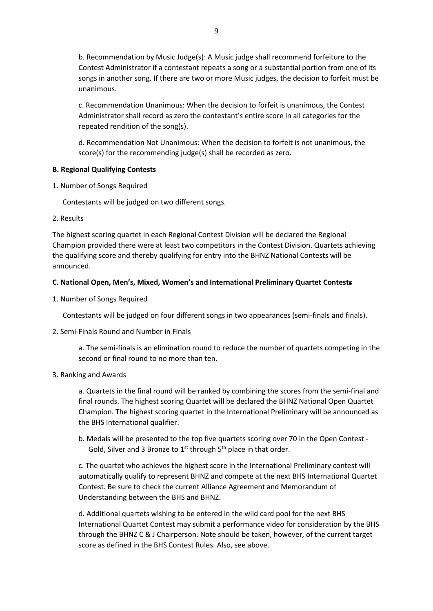b. Recommendation by Music Judge(s): A Music judge shall recommend forfeiture to the Contest Administrator if a contestant repeats a song or a substantial portion from one of its songs in another song. If there are two or more Music judges, the decision to forfeit must be unanimous.

c. Recommendation Unanimous: When the decision to forfeit is unanimous, the Contest Administrator shall record as zero the contestant's entire score in all categories for the repeated rendition of the song(s).

d. Recommendation Not Unanimous: When the decision to forfeit is not unanimous, the score(s) for the recommending judge(s) shall be recorded as zero.

## <span id="page-12-0"></span>**B. Regional Qualifying Contests**

<span id="page-12-1"></span>1. Number of Songs Required

Contestants will be judged on two different songs.

<span id="page-12-2"></span>2. Results

The highest scoring quartet in each Regional Contest Division will be declared the Regional Champion provided there were at least two competitors in the Contest Division. Quartets achieving the qualifying score and thereby qualifying for entry into the BHNZ National Contests will be announced.

## <span id="page-12-3"></span>**C. National Open, Men's, Mixed, Women's and International Preliminary Quartet Contests**

<span id="page-12-4"></span>1. Number of Songs Required

Contestants will be judged on four different songs in two appearances (semi-finals and finals).

## <span id="page-12-5"></span>2. Semi-Finals Round and Number in Finals

a. The semi-finals is an elimination round to reduce the number of quartets competing in the second or final round to no more than ten.

## <span id="page-12-6"></span>3. Ranking and Awards

a. Quartets in the final round will be ranked by combining the scores from the semi-final and final rounds. The highest scoring Quartet will be declared the BHNZ National Open Quartet Champion. The highest scoring quartet in the International Preliminary will be announced as the BHS International qualifier.

b. Medals will be presented to the top five quartets scoring over 70 in the Open Contest - Gold, Silver and 3 Bronze to  $1^{st}$  through  $5^{th}$  place in that order.

c. The quartet who achieves the highest score in the International Preliminary contest will automatically qualify to represent BHNZ and compete at the next BHS International Quartet Contest. Be sure to check the current Alliance Agreement and Memorandum of Understanding between the BHS and BHNZ.

d. Additional quartets wishing to be entered in the wild card pool for the next BHS International Quartet Contest may submit a performance video for consideration by the BHS through the BHNZ C & J Chairperson. Note should be taken, however, of the current target score as defined in the BHS Contest Rules. Also, see above.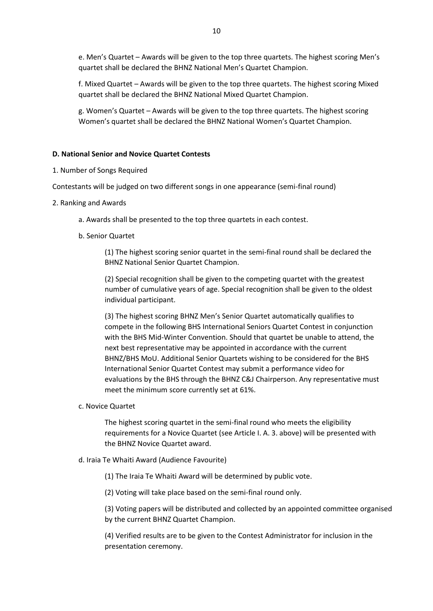e. Men's Quartet – Awards will be given to the top three quartets. The highest scoring Men's quartet shall be declared the BHNZ National Men's Quartet Champion.

f. Mixed Quartet – Awards will be given to the top three quartets. The highest scoring Mixed quartet shall be declared the BHNZ National Mixed Quartet Champion.

g. Women's Quartet – Awards will be given to the top three quartets. The highest scoring Women's quartet shall be declared the BHNZ National Women's Quartet Champion.

## <span id="page-13-0"></span>**D. National Senior and Novice Quartet Contests**

<span id="page-13-1"></span>1. Number of Songs Required

Contestants will be judged on two different songs in one appearance (semi-final round)

- <span id="page-13-2"></span>2. Ranking and Awards
	- a. Awards shall be presented to the top three quartets in each contest.
	- b. Senior Quartet

(1) The highest scoring senior quartet in the semi-final round shall be declared the BHNZ National Senior Quartet Champion.

(2) Special recognition shall be given to the competing quartet with the greatest number of cumulative years of age. Special recognition shall be given to the oldest individual participant.

(3) The highest scoring BHNZ Men's Senior Quartet automatically qualifies to compete in the following BHS International Seniors Quartet Contest in conjunction with the BHS Mid-Winter Convention. Should that quartet be unable to attend, the next best representative may be appointed in accordance with the current BHNZ/BHS MoU. Additional Senior Quartets wishing to be considered for the BHS International Senior Quartet Contest may submit a performance video for evaluations by the BHS through the BHNZ C&J Chairperson. Any representative must meet the minimum score currently set at 61%.

c. Novice Quartet

The highest scoring quartet in the semi-final round who meets the eligibility requirements for a Novice Quartet (see Article I. A. 3. above) will be presented with the BHNZ Novice Quartet award.

d. Iraia Te Whaiti Award (Audience Favourite)

(1) The Iraia Te Whaiti Award will be determined by public vote.

(2) Voting will take place based on the semi-final round only.

(3) Voting papers will be distributed and collected by an appointed committee organised by the current BHNZ Quartet Champion.

(4) Verified results are to be given to the Contest Administrator for inclusion in the presentation ceremony.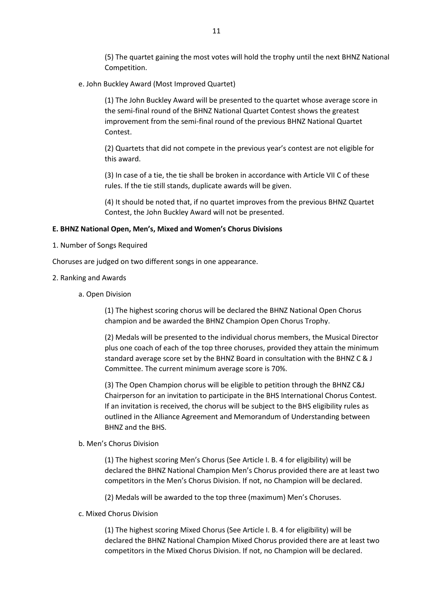(5) The quartet gaining the most votes will hold the trophy until the next BHNZ National Competition.

e. John Buckley Award (Most Improved Quartet)

(1) The John Buckley Award will be presented to the quartet whose average score in the semi-final round of the BHNZ National Quartet Contest shows the greatest improvement from the semi-final round of the previous BHNZ National Quartet Contest.

(2) Quartets that did not compete in the previous year's contest are not eligible for this award.

(3) In case of a tie, the tie shall be broken in accordance with Article VII C of these rules. If the tie still stands, duplicate awards will be given.

(4) It should be noted that, if no quartet improves from the previous BHNZ Quartet Contest, the John Buckley Award will not be presented.

#### <span id="page-14-0"></span>**E. BHNZ National Open, Men's, Mixed and Women's Chorus Divisions**

<span id="page-14-1"></span>1. Number of Songs Required

Choruses are judged on two different songs in one appearance.

- <span id="page-14-2"></span>2. Ranking and Awards
	- a. Open Division

(1) The highest scoring chorus will be declared the BHNZ National Open Chorus champion and be awarded the BHNZ Champion Open Chorus Trophy.

(2) Medals will be presented to the individual chorus members, the Musical Director plus one coach of each of the top three choruses, provided they attain the minimum standard average score set by the BHNZ Board in consultation with the BHNZ C & J Committee. The current minimum average score is 70%.

(3) The Open Champion chorus will be eligible to petition through the BHNZ C&J Chairperson for an invitation to participate in the BHS International Chorus Contest. If an invitation is received, the chorus will be subject to the BHS eligibility rules as outlined in the Alliance Agreement and Memorandum of Understanding between BHNZ and the BHS.

#### b. Men's Chorus Division

(1) The highest scoring Men's Chorus (See Article I. B. 4 for eligibility) will be declared the BHNZ National Champion Men's Chorus provided there are at least two competitors in the Men's Chorus Division. If not, no Champion will be declared.

(2) Medals will be awarded to the top three (maximum) Men's Choruses.

c. Mixed Chorus Division

(1) The highest scoring Mixed Chorus (See Article I. B. 4 for eligibility) will be declared the BHNZ National Champion Mixed Chorus provided there are at least two competitors in the Mixed Chorus Division. If not, no Champion will be declared.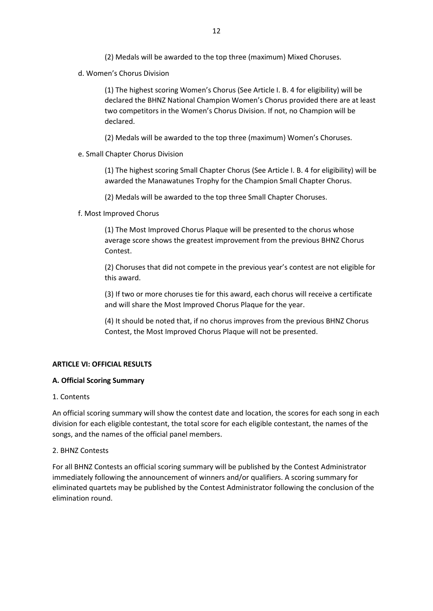(2) Medals will be awarded to the top three (maximum) Mixed Choruses.

d. Women's Chorus Division

(1) The highest scoring Women's Chorus (See Article I. B. 4 for eligibility) will be declared the BHNZ National Champion Women's Chorus provided there are at least two competitors in the Women's Chorus Division. If not, no Champion will be declared.

(2) Medals will be awarded to the top three (maximum) Women's Choruses.

e. Small Chapter Chorus Division

(1) The highest scoring Small Chapter Chorus (See Article I. B. 4 for eligibility) will be awarded the Manawatunes Trophy for the Champion Small Chapter Chorus.

(2) Medals will be awarded to the top three Small Chapter Choruses.

f. Most Improved Chorus

(1) The Most Improved Chorus Plaque will be presented to the chorus whose average score shows the greatest improvement from the previous BHNZ Chorus Contest.

(2) Choruses that did not compete in the previous year's contest are not eligible for this award.

(3) If two or more choruses tie for this award, each chorus will receive a certificate and will share the Most Improved Chorus Plaque for the year.

(4) It should be noted that, if no chorus improves from the previous BHNZ Chorus Contest, the Most Improved Chorus Plaque will not be presented.

## <span id="page-15-0"></span>**ARTICLE VI: OFFICIAL RESULTS**

#### <span id="page-15-1"></span>**A. Official Scoring Summary**

#### <span id="page-15-2"></span>1. Contents

An official scoring summary will show the contest date and location, the scores for each song in each division for each eligible contestant, the total score for each eligible contestant, the names of the songs, and the names of the official panel members.

#### <span id="page-15-3"></span>2. BHNZ Contests

For all BHNZ Contests an official scoring summary will be published by the Contest Administrator immediately following the announcement of winners and/or qualifiers. A scoring summary for eliminated quartets may be published by the Contest Administrator following the conclusion of the elimination round.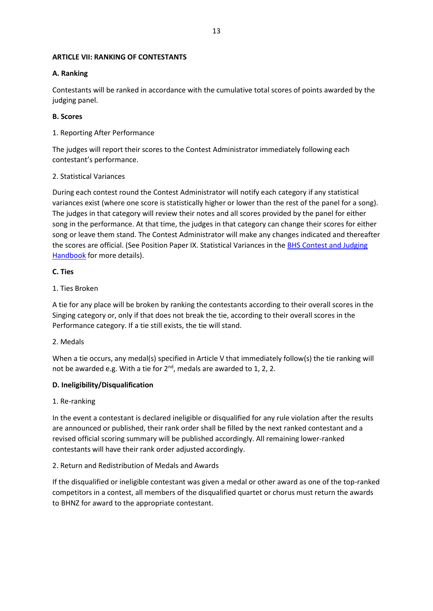## <span id="page-16-0"></span>**ARTICLE VII: RANKING OF CONTESTANTS**

## <span id="page-16-1"></span>**A. Ranking**

Contestants will be ranked in accordance with the cumulative total scores of points awarded by the judging panel.

## <span id="page-16-2"></span>**B. Scores**

<span id="page-16-3"></span>1. Reporting After Performance

The judges will report their scores to the Contest Administrator immediately following each contestant's performance.

## <span id="page-16-4"></span>2. Statistical Variances

During each contest round the Contest Administrator will notify each category if any statistical variances exist (where one score is statistically higher or lower than the rest of the panel for a song). The judges in that category will review their notes and all scores provided by the panel for either song in the performance. At that time, the judges in that category can change their scores for either song or leave them stand. The Contest Administrator will make any changes indicated and thereafter the scores are official. (See Position Paper IX. Statistical Variances in the [BHS Contest and Judging](https://files.barbershop.org/PDFs/Contests-Judging/CJ_Handbook.ver_13.2_Jun_2020.pdf)  **[Handbook](https://files.barbershop.org/PDFs/Contests-Judging/CJ_Handbook.ver_13.2_Jun_2020.pdf)** for more details).

## <span id="page-16-5"></span>**C. Ties**

## <span id="page-16-6"></span>1. Ties Broken

A tie for any place will be broken by ranking the contestants according to their overall scores in the Singing category or, only if that does not break the tie, according to their overall scores in the Performance category. If a tie still exists, the tie will stand.

## <span id="page-16-7"></span>2. Medals

When a tie occurs, any medal(s) specified in Article V that immediately follow(s) the tie ranking will not be awarded e.g. With a tie for 2<sup>nd</sup>, medals are awarded to 1, 2, 2.

## <span id="page-16-8"></span>**D. Ineligibility/Disqualification**

## <span id="page-16-9"></span>1. Re-ranking

In the event a contestant is declared ineligible or disqualified for any rule violation after the results are announced or published, their rank order shall be filled by the next ranked contestant and a revised official scoring summary will be published accordingly. All remaining lower-ranked contestants will have their rank order adjusted accordingly.

## <span id="page-16-10"></span>2. Return and Redistribution of Medals and Awards

If the disqualified or ineligible contestant was given a medal or other award as one of the top-ranked competitors in a contest, all members of the disqualified quartet or chorus must return the awards to BHNZ for award to the appropriate contestant.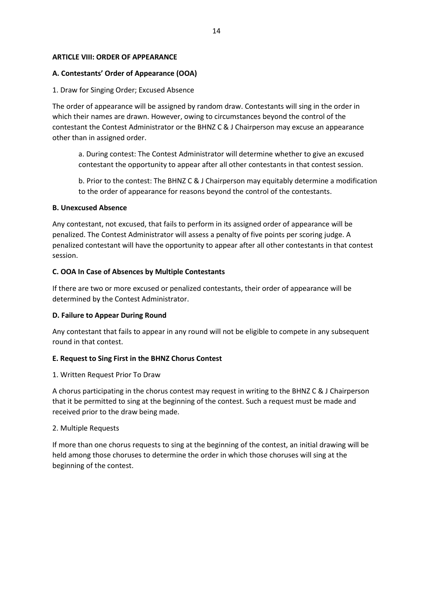### <span id="page-17-0"></span>**ARTICLE VIII: ORDER OF APPEARANCE**

### <span id="page-17-1"></span>**A. Contestants' Order of Appearance (OOA)**

#### <span id="page-17-2"></span>1. Draw for Singing Order; Excused Absence

The order of appearance will be assigned by random draw. Contestants will sing in the order in which their names are drawn. However, owing to circumstances beyond the control of the contestant the Contest Administrator or the BHNZ C & J Chairperson may excuse an appearance other than in assigned order.

a. During contest: The Contest Administrator will determine whether to give an excused contestant the opportunity to appear after all other contestants in that contest session.

b. Prior to the contest: The BHNZ C & J Chairperson may equitably determine a modification to the order of appearance for reasons beyond the control of the contestants.

#### <span id="page-17-3"></span>**B. Unexcused Absence**

Any contestant, not excused, that fails to perform in its assigned order of appearance will be penalized. The Contest Administrator will assess a penalty of five points per scoring judge. A penalized contestant will have the opportunity to appear after all other contestants in that contest session.

#### <span id="page-17-4"></span>**C. OOA In Case of Absences by Multiple Contestants**

If there are two or more excused or penalized contestants, their order of appearance will be determined by the Contest Administrator.

#### <span id="page-17-5"></span>**D. Failure to Appear During Round**

Any contestant that fails to appear in any round will not be eligible to compete in any subsequent round in that contest.

#### <span id="page-17-6"></span>**E. Request to Sing First in the BHNZ Chorus Contest**

#### <span id="page-17-7"></span>1. Written Request Prior To Draw

A chorus participating in the chorus contest may request in writing to the BHNZ C & J Chairperson that it be permitted to sing at the beginning of the contest. Such a request must be made and received prior to the draw being made.

#### <span id="page-17-8"></span>2. Multiple Requests

If more than one chorus requests to sing at the beginning of the contest, an initial drawing will be held among those choruses to determine the order in which those choruses will sing at the beginning of the contest.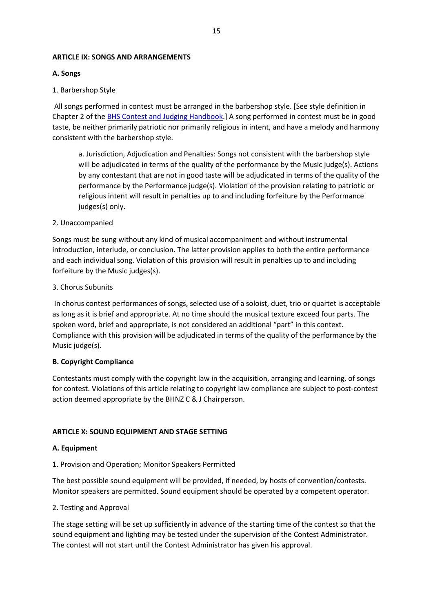#### <span id="page-18-0"></span>**ARTICLE IX: SONGS AND ARRANGEMENTS**

## <span id="page-18-1"></span>**A. Songs**

#### <span id="page-18-2"></span>1. Barbershop Style

All songs performed in contest must be arranged in the barbershop style. [See style definition in Chapter 2 of the [BHS Contest and Judging Handbook.](https://files.barbershop.org/PDFs/Contests-Judging/CJ_Handbook.ver_13.2_Jun_2020.pdf)] A song performed in contest must be in good taste, be neither primarily patriotic nor primarily religious in intent, and have a melody and harmony consistent with the barbershop style.

a. Jurisdiction, Adjudication and Penalties: Songs not consistent with the barbershop style will be adjudicated in terms of the quality of the performance by the Music judge(s). Actions by any contestant that are not in good taste will be adjudicated in terms of the quality of the performance by the Performance judge(s). Violation of the provision relating to patriotic or religious intent will result in penalties up to and including forfeiture by the Performance judges(s) only.

#### <span id="page-18-3"></span>2. Unaccompanied

Songs must be sung without any kind of musical accompaniment and without instrumental introduction, interlude, or conclusion. The latter provision applies to both the entire performance and each individual song. Violation of this provision will result in penalties up to and including forfeiture by the Music judges(s).

#### <span id="page-18-4"></span>3. Chorus Subunits

In chorus contest performances of songs, selected use of a soloist, duet, trio or quartet is acceptable as long as it is brief and appropriate. At no time should the musical texture exceed four parts. The spoken word, brief and appropriate, is not considered an additional "part" in this context. Compliance with this provision will be adjudicated in terms of the quality of the performance by the Music judge(s).

#### <span id="page-18-5"></span>**B. Copyright Compliance**

Contestants must comply with the copyright law in the acquisition, arranging and learning, of songs for contest. Violations of this article relating to copyright law compliance are subject to post-contest action deemed appropriate by the BHNZ C & J Chairperson.

## <span id="page-18-6"></span>**ARTICLE X: SOUND EQUIPMENT AND STAGE SETTING**

#### <span id="page-18-7"></span>**A. Equipment**

#### <span id="page-18-8"></span>1. Provision and Operation; Monitor Speakers Permitted

The best possible sound equipment will be provided, if needed, by hosts of convention/contests. Monitor speakers are permitted. Sound equipment should be operated by a competent operator.

#### <span id="page-18-9"></span>2. Testing and Approval

The stage setting will be set up sufficiently in advance of the starting time of the contest so that the sound equipment and lighting may be tested under the supervision of the Contest Administrator. The contest will not start until the Contest Administrator has given his approval.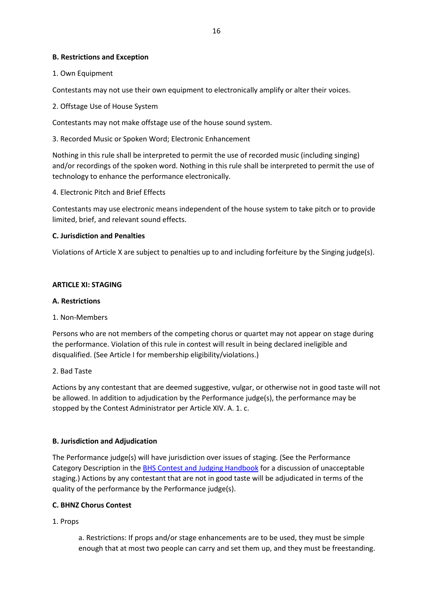### <span id="page-19-0"></span>**B. Restrictions and Exception**

#### <span id="page-19-1"></span>1. Own Equipment

Contestants may not use their own equipment to electronically amplify or alter their voices.

#### <span id="page-19-2"></span>2. Offstage Use of House System

Contestants may not make offstage use of the house sound system.

<span id="page-19-3"></span>3. Recorded Music or Spoken Word; Electronic Enhancement

Nothing in this rule shall be interpreted to permit the use of recorded music (including singing) and/or recordings of the spoken word. Nothing in this rule shall be interpreted to permit the use of technology to enhance the performance electronically.

<span id="page-19-4"></span>4. Electronic Pitch and Brief Effects

Contestants may use electronic means independent of the house system to take pitch or to provide limited, brief, and relevant sound effects.

## <span id="page-19-5"></span>**C. Jurisdiction and Penalties**

Violations of Article X are subject to penalties up to and including forfeiture by the Singing judge(s).

#### <span id="page-19-6"></span>**ARTICLE XI: STAGING**

#### <span id="page-19-7"></span>**A. Restrictions**

#### <span id="page-19-8"></span>1. Non-Members

Persons who are not members of the competing chorus or quartet may not appear on stage during the performance. Violation of this rule in contest will result in being declared ineligible and disqualified. (See Article I for membership eligibility/violations.)

## <span id="page-19-9"></span>2. Bad Taste

Actions by any contestant that are deemed suggestive, vulgar, or otherwise not in good taste will not be allowed. In addition to adjudication by the Performance judge(s), the performance may be stopped by the Contest Administrator per Article XIV. A. 1. c.

## <span id="page-19-10"></span>**B. Jurisdiction and Adjudication**

The Performance judge(s) will have jurisdiction over issues of staging. (See the Performance Category Description in th[e BHS Contest and Judging Handbook](https://files.barbershop.org/PDFs/Contests-Judging/CJ_Handbook.ver_13.2_Jun_2020.pdf) for a discussion of unacceptable staging.) Actions by any contestant that are not in good taste will be adjudicated in terms of the quality of the performance by the Performance judge(s).

#### <span id="page-19-11"></span>**C. BHNZ Chorus Contest**

## <span id="page-19-12"></span>1. Props

a. Restrictions: If props and/or stage enhancements are to be used, they must be simple enough that at most two people can carry and set them up, and they must be freestanding.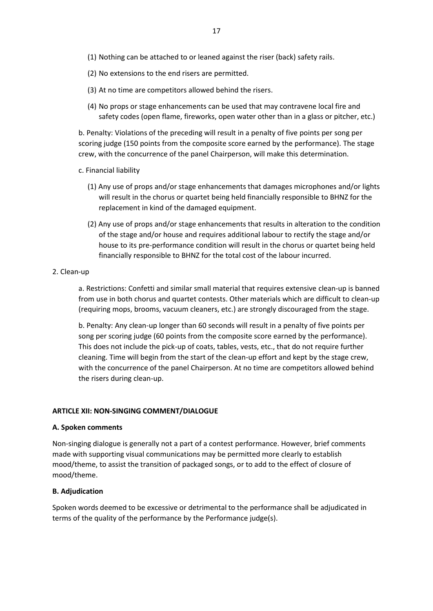- (1) Nothing can be attached to or leaned against the riser (back) safety rails.
- (2) No extensions to the end risers are permitted.
- (3) At no time are competitors allowed behind the risers.
- (4) No props or stage enhancements can be used that may contravene local fire and safety codes (open flame, fireworks, open water other than in a glass or pitcher, etc.)

b. Penalty: Violations of the preceding will result in a penalty of five points per song per scoring judge (150 points from the composite score earned by the performance). The stage crew, with the concurrence of the panel Chairperson, will make this determination.

- c. Financial liability
	- (1) Any use of props and/or stage enhancements that damages microphones and/or lights will result in the chorus or quartet being held financially responsible to BHNZ for the replacement in kind of the damaged equipment.
	- (2) Any use of props and/or stage enhancements that results in alteration to the condition of the stage and/or house and requires additional labour to rectify the stage and/or house to its pre-performance condition will result in the chorus or quartet being held financially responsible to BHNZ for the total cost of the labour incurred.
- <span id="page-20-0"></span>2. Clean-up

a. Restrictions: Confetti and similar small material that requires extensive clean-up is banned from use in both chorus and quartet contests. Other materials which are difficult to clean-up (requiring mops, brooms, vacuum cleaners, etc.) are strongly discouraged from the stage.

b. Penalty: Any clean-up longer than 60 seconds will result in a penalty of five points per song per scoring judge (60 points from the composite score earned by the performance). This does not include the pick-up of coats, tables, vests, etc., that do not require further cleaning. Time will begin from the start of the clean-up effort and kept by the stage crew, with the concurrence of the panel Chairperson. At no time are competitors allowed behind the risers during clean-up.

#### <span id="page-20-1"></span>**ARTICLE XII: NON-SINGING COMMENT/DIALOGUE**

#### <span id="page-20-2"></span>**A. Spoken comments**

Non-singing dialogue is generally not a part of a contest performance. However, brief comments made with supporting visual communications may be permitted more clearly to establish mood/theme, to assist the transition of packaged songs, or to add to the effect of closure of mood/theme.

#### <span id="page-20-3"></span>**B. Adjudication**

Spoken words deemed to be excessive or detrimental to the performance shall be adjudicated in terms of the quality of the performance by the Performance judge(s).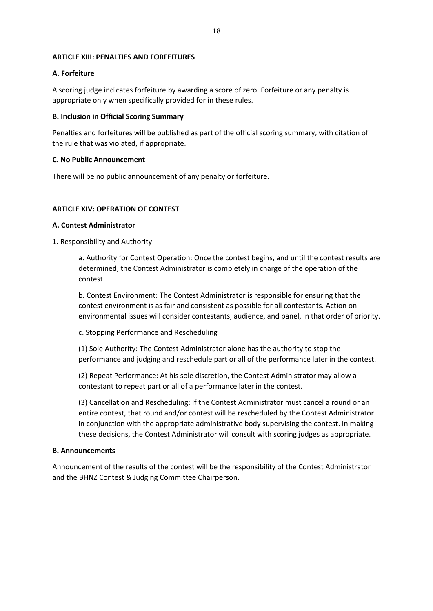#### <span id="page-21-0"></span>**ARTICLE XIII: PENALTIES AND FORFEITURES**

## <span id="page-21-1"></span>**A. Forfeiture**

A scoring judge indicates forfeiture by awarding a score of zero. Forfeiture or any penalty is appropriate only when specifically provided for in these rules.

## <span id="page-21-2"></span>**B. Inclusion in Official Scoring Summary**

Penalties and forfeitures will be published as part of the official scoring summary, with citation of the rule that was violated, if appropriate.

## <span id="page-21-3"></span>**C. No Public Announcement**

There will be no public announcement of any penalty or forfeiture.

## <span id="page-21-4"></span>**ARTICLE XIV: OPERATION OF CONTEST**

## <span id="page-21-5"></span>**A. Contest Administrator**

<span id="page-21-6"></span>1. Responsibility and Authority

a. Authority for Contest Operation: Once the contest begins, and until the contest results are determined, the Contest Administrator is completely in charge of the operation of the contest.

b. Contest Environment: The Contest Administrator is responsible for ensuring that the contest environment is as fair and consistent as possible for all contestants. Action on environmental issues will consider contestants, audience, and panel, in that order of priority.

c. Stopping Performance and Rescheduling

(1) Sole Authority: The Contest Administrator alone has the authority to stop the performance and judging and reschedule part or all of the performance later in the contest.

(2) Repeat Performance: At his sole discretion, the Contest Administrator may allow a contestant to repeat part or all of a performance later in the contest.

(3) Cancellation and Rescheduling: If the Contest Administrator must cancel a round or an entire contest, that round and/or contest will be rescheduled by the Contest Administrator in conjunction with the appropriate administrative body supervising the contest. In making these decisions, the Contest Administrator will consult with scoring judges as appropriate.

## <span id="page-21-7"></span>**B. Announcements**

Announcement of the results of the contest will be the responsibility of the Contest Administrator and the BHNZ Contest & Judging Committee Chairperson.